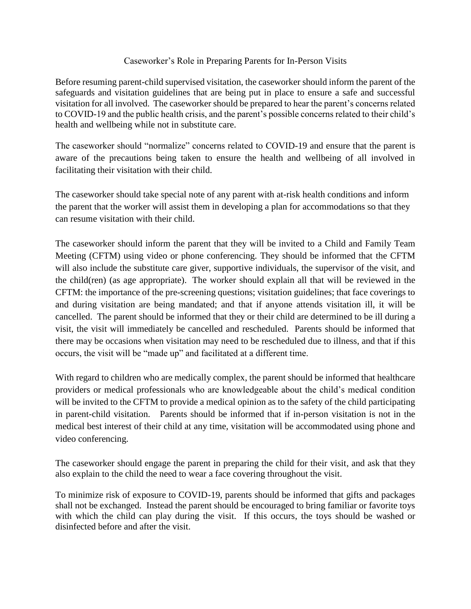## Caseworker's Role in Preparing Parents for In-Person Visits

Before resuming parent-child supervised visitation, the caseworker should inform the parent of the safeguards and visitation guidelines that are being put in place to ensure a safe and successful visitation for all involved. The caseworker should be prepared to hear the parent's concerns related to COVID-19 and the public health crisis, and the parent's possible concerns related to their child's health and wellbeing while not in substitute care.

The caseworker should "normalize" concerns related to COVID-19 and ensure that the parent is aware of the precautions being taken to ensure the health and wellbeing of all involved in facilitating their visitation with their child.

The caseworker should take special note of any parent with at-risk health conditions and inform the parent that the worker will assist them in developing a plan for accommodations so that they can resume visitation with their child.

The caseworker should inform the parent that they will be invited to a Child and Family Team Meeting (CFTM) using video or phone conferencing. They should be informed that the CFTM will also include the substitute care giver, supportive individuals, the supervisor of the visit, and the child(ren) (as age appropriate). The worker should explain all that will be reviewed in the CFTM: the importance of the pre-screening questions; visitation guidelines; that face coverings to and during visitation are being mandated; and that if anyone attends visitation ill, it will be cancelled. The parent should be informed that they or their child are determined to be ill during a visit, the visit will immediately be cancelled and rescheduled. Parents should be informed that there may be occasions when visitation may need to be rescheduled due to illness, and that if this occurs, the visit will be "made up" and facilitated at a different time.

With regard to children who are medically complex, the parent should be informed that healthcare providers or medical professionals who are knowledgeable about the child's medical condition will be invited to the CFTM to provide a medical opinion as to the safety of the child participating in parent-child visitation. Parents should be informed that if in-person visitation is not in the medical best interest of their child at any time, visitation will be accommodated using phone and video conferencing.

The caseworker should engage the parent in preparing the child for their visit, and ask that they also explain to the child the need to wear a face covering throughout the visit.

To minimize risk of exposure to COVID-19, parents should be informed that gifts and packages shall not be exchanged. Instead the parent should be encouraged to bring familiar or favorite toys with which the child can play during the visit. If this occurs, the toys should be washed or disinfected before and after the visit.